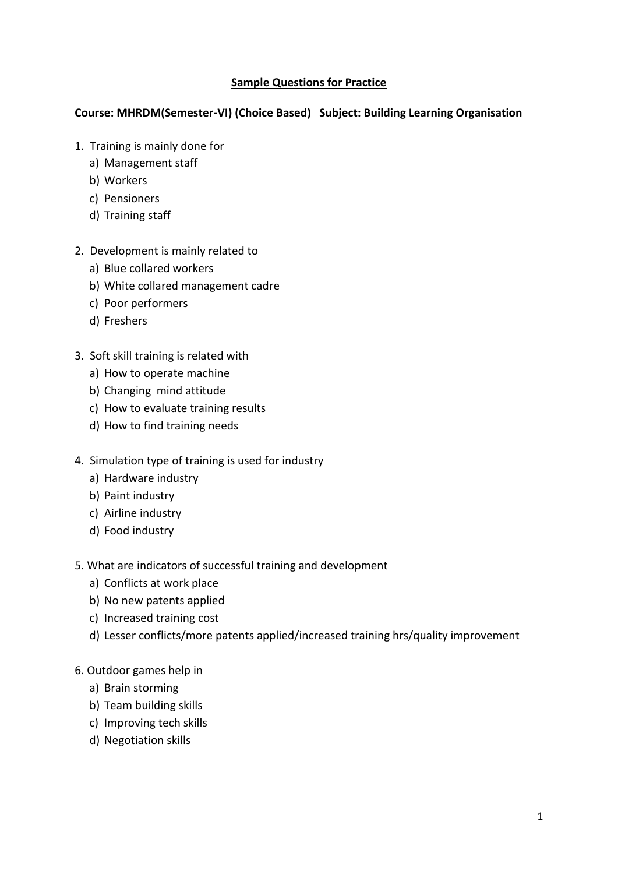# **Sample Questions for Practice**

# **Course: MHRDM(Semester-VI) (Choice Based) Subject: Building Learning Organisation**

- 1. Training is mainly done for
	- a) Management staff
	- b) Workers
	- c) Pensioners
	- d) Training staff
- 2. Development is mainly related to
	- a) Blue collared workers
	- b) White collared management cadre
	- c) Poor performers
	- d) Freshers
- 3. Soft skill training is related with
	- a) How to operate machine
	- b) Changing mind attitude
	- c) How to evaluate training results
	- d) How to find training needs
- 4. Simulation type of training is used for industry
	- a) Hardware industry
	- b) Paint industry
	- c) Airline industry
	- d) Food industry
- 5. What are indicators of successful training and development
	- a) Conflicts at work place
	- b) No new patents applied
	- c) Increased training cost
	- d) Lesser conflicts/more patents applied/increased training hrs/quality improvement
- 6. Outdoor games help in
	- a) Brain storming
	- b) Team building skills
	- c) Improving tech skills
	- d) Negotiation skills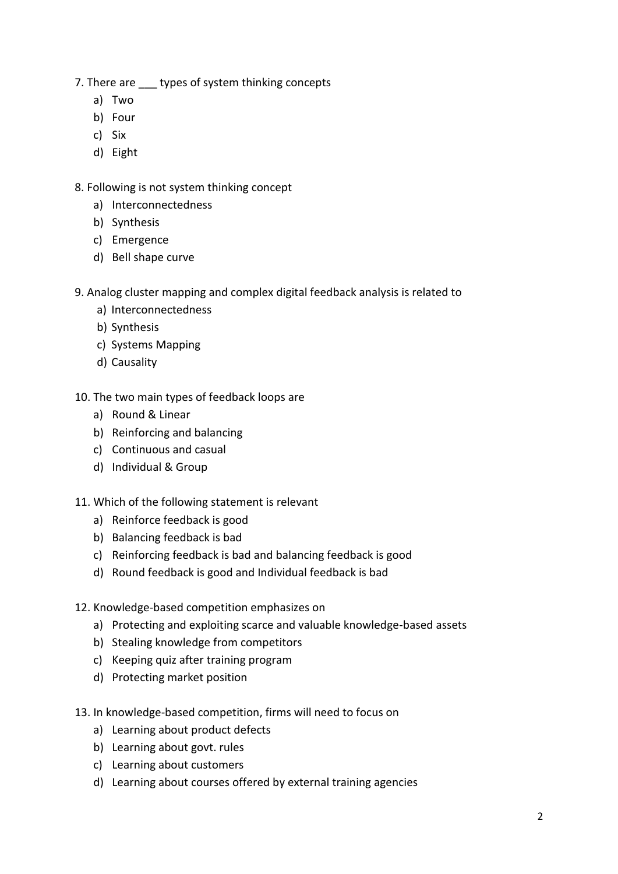- 7. There are \_\_\_\_ types of system thinking concepts
	- a) Two
	- b) Four
	- c) Six
	- d) Eight
- 8. Following is not system thinking concept
	- a) Interconnectedness
	- b) Synthesis
	- c) Emergence
	- d) Bell shape curve
- 9. Analog cluster mapping and complex digital feedback analysis is related to
	- a) Interconnectedness
	- b) Synthesis
	- c) Systems Mapping
	- d) Causality
- 10. The two main types of feedback loops are
	- a) Round & Linear
	- b) Reinforcing and balancing
	- c) Continuous and casual
	- d) Individual & Group
- 11. Which of the following statement is relevant
	- a) Reinforce feedback is good
	- b) Balancing feedback is bad
	- c) Reinforcing feedback is bad and balancing feedback is good
	- d) Round feedback is good and Individual feedback is bad
- 12. Knowledge-based competition emphasizes on
	- a) Protecting and exploiting scarce and valuable knowledge-based assets
	- b) Stealing knowledge from competitors
	- c) Keeping quiz after training program
	- d) Protecting market position
- 13. In knowledge‐based competition, firms will need to focus on
	- a) Learning about product defects
	- b) Learning about govt. rules
	- c) Learning about customers
	- d) Learning about courses offered by external training agencies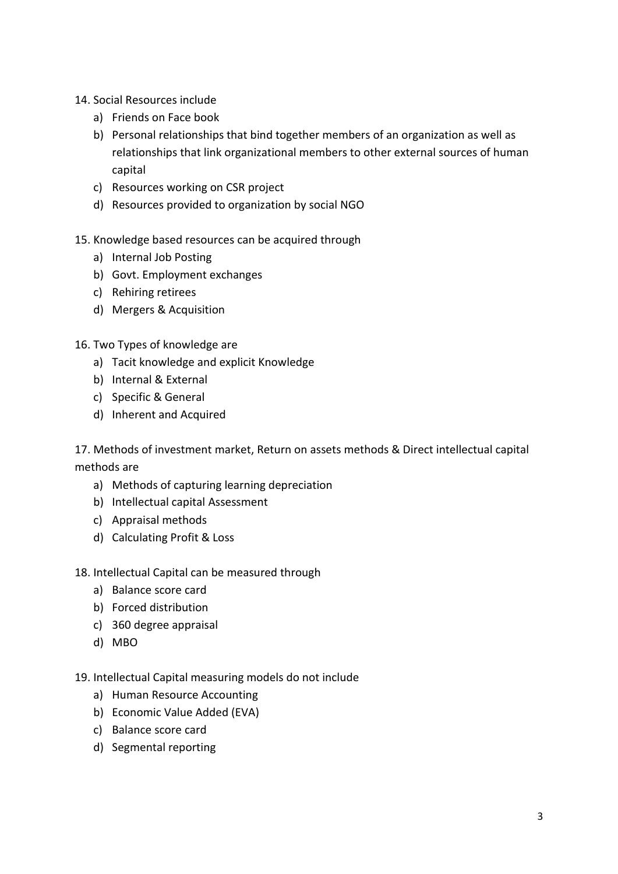- 14. Social Resources include
	- a) Friends on Face book
	- b) Personal relationships that bind together members of an organization as well as relationships that link organizational members to other external sources of human capital
	- c) Resources working on CSR project
	- d) Resources provided to organization by social NGO

### 15. Knowledge based resources can be acquired through

- a) Internal Job Posting
- b) Govt. Employment exchanges
- c) Rehiring retirees
- d) Mergers & Acquisition
- 16. Two Types of knowledge are
	- a) Tacit knowledge and explicit Knowledge
	- b) Internal & External
	- c) Specific & General
	- d) Inherent and Acquired

17. Methods of investment market, Return on assets methods & Direct intellectual capital methods are

- a) Methods of capturing learning depreciation
- b) Intellectual capital Assessment
- c) Appraisal methods
- d) Calculating Profit & Loss

#### 18. Intellectual Capital can be measured through

- a) Balance score card
- b) Forced distribution
- c) 360 degree appraisal
- d) MBO
- 19. Intellectual Capital measuring models do not include
	- a) Human Resource Accounting
	- b) Economic Value Added (EVA)
	- c) Balance score card
	- d) Segmental reporting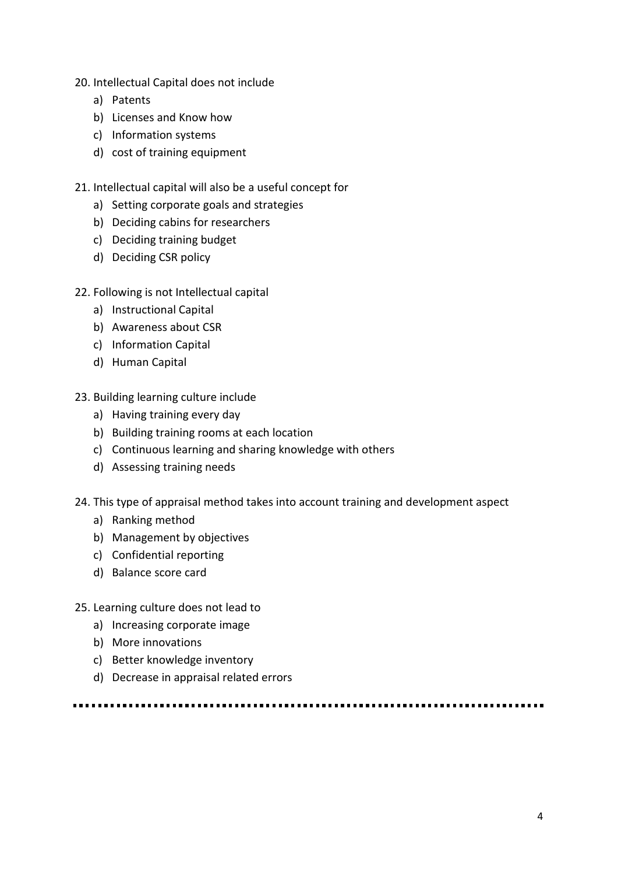- 20. Intellectual Capital does not include
	- a) Patents
	- b) Licenses and Know how
	- c) Information systems
	- d) cost of training equipment
- 21. Intellectual capital will also be a useful concept for
	- a) Setting corporate goals and strategies
	- b) Deciding cabins for researchers
	- c) Deciding training budget
	- d) Deciding CSR policy
- 22. Following is not Intellectual capital
	- a) Instructional Capital
	- b) Awareness about CSR
	- c) Information Capital
	- d) Human Capital
- 23. Building learning culture include
	- a) Having training every day
	- b) Building training rooms at each location
	- c) Continuous learning and sharing knowledge with others
	- d) Assessing training needs
- 24. This type of appraisal method takes into account training and development aspect
	- a) Ranking method
	- b) Management by objectives
	- c) Confidential reporting
	- d) Balance score card
- 25. Learning culture does not lead to
	- a) Increasing corporate image
	- b) More innovations
	- c) Better knowledge inventory
	- d) Decrease in appraisal related errors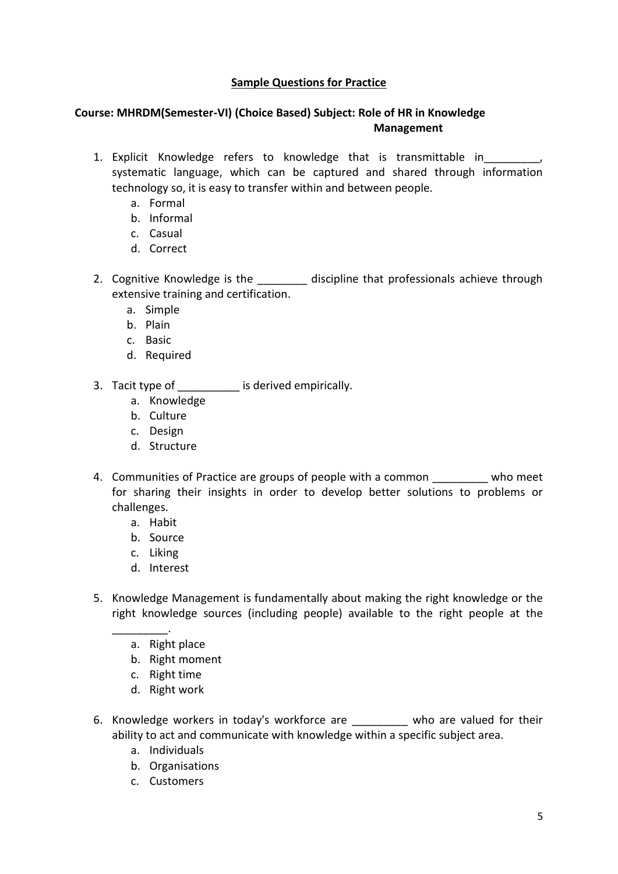## **Sample Questions for Practice**

## **Course: MHRDM(Semester-VI) (Choice Based) Subject: Role of HR in Knowledge Management**

- 1. Explicit Knowledge refers to knowledge that is transmittable in  $\qquad \qquad ,$ systematic language, which can be captured and shared through information technology so, it is easy to transfer within and between people.
	- a. Formal
	- b. Informal
	- c. Casual
	- d. Correct
- 2. Cognitive Knowledge is the discipline that professionals achieve through extensive training and certification.
	- a. Simple
	- b. Plain
	- c. Basic
	- d. Required
- 3. Tacit type of \_\_\_\_\_\_\_\_\_\_\_ is derived empirically.
	- a. Knowledge
	- b. Culture
	- c. Design
	- d. Structure
- 4. Communities of Practice are groups of people with a common who meet for sharing their insights in order to develop better solutions to problems or challenges.
	- a. Habit
	- b. Source
	- c. Liking
	- d. Interest
- 5. Knowledge Management is fundamentally about making the right knowledge or the right knowledge sources (including people) available to the right people at the
	- \_\_\_\_\_\_\_\_\_. a. Right place
		- b. Right moment
		- c. Right time
		- d. Right work
- 6. Knowledge workers in today's workforce are **who are valued for their** ability to act and communicate with knowledge within a specific subject area.
	- a. Individuals
	- b. Organisations
	- c. Customers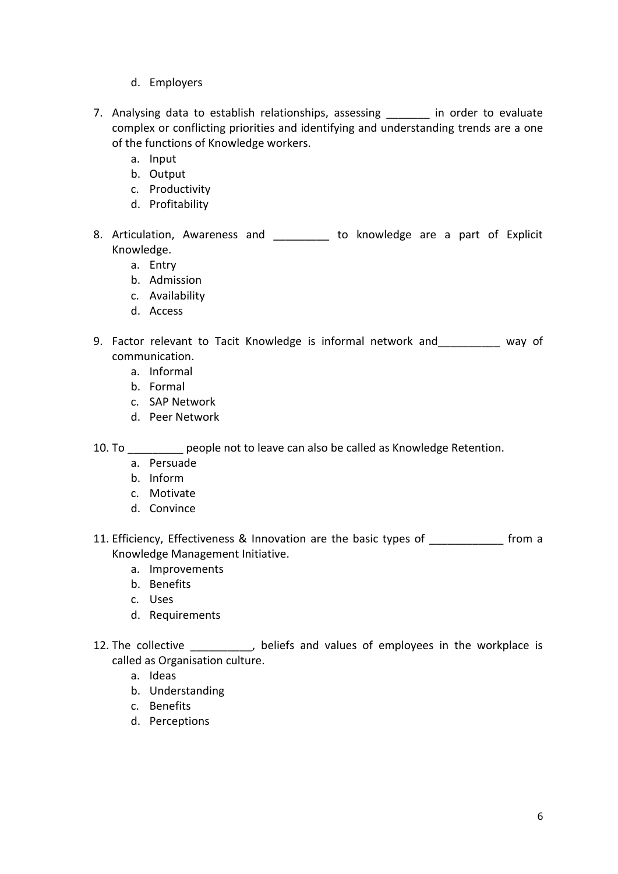- d. Employers
- 7. Analysing data to establish relationships, assessing a limit order to evaluate complex or conflicting priorities and identifying and understanding trends are a one of the functions of Knowledge workers.
	- a. Input
	- b. Output
	- c. Productivity
	- d. Profitability
- 8. Articulation, Awareness and \_\_\_\_\_\_\_\_\_ to knowledge are a part of Explicit Knowledge.
	- a. Entry
	- b. Admission
	- c. Availability
	- d. Access
- 9. Factor relevant to Tacit Knowledge is informal network and way of communication.
	- a. Informal
	- b. Formal
	- c. SAP Network
	- d. Peer Network

10. To \_\_\_\_\_\_\_\_\_ people not to leave can also be called as Knowledge Retention.

- a. Persuade
- b. Inform
- c. Motivate
- d. Convince
- 11. Efficiency, Effectiveness & Innovation are the basic types of The Massic from a Knowledge Management Initiative.
	- a. Improvements
	- b. Benefits
	- c. Uses
	- d. Requirements
- 12. The collective extended beliefs and values of employees in the workplace is called as Organisation culture.
	- a. Ideas
	- b. Understanding
	- c. Benefits
	- d. Perceptions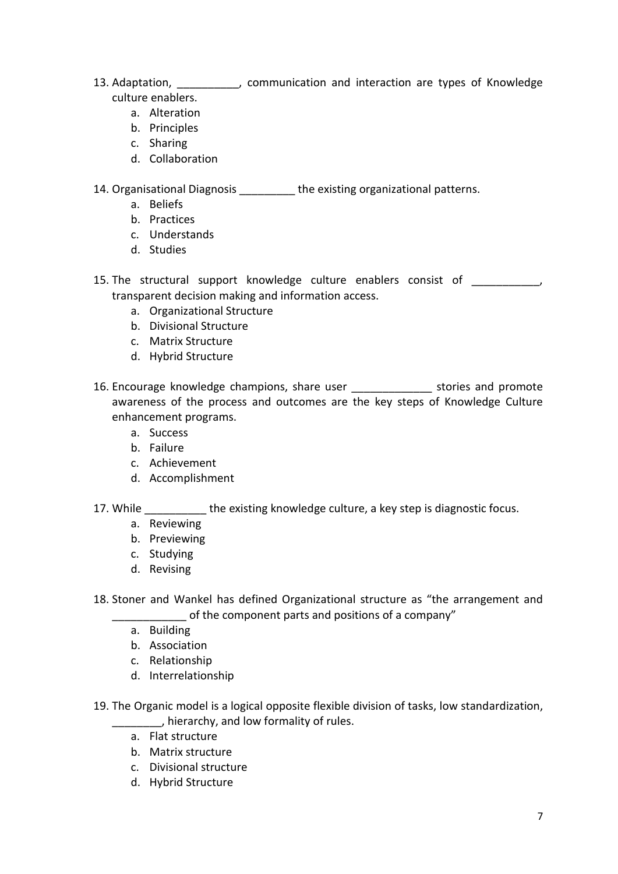- 13. Adaptation, **witch the Communication and interaction are types of Knowledge** culture enablers.
	- a. Alteration
	- b. Principles
	- c. Sharing
	- d. Collaboration

14. Organisational Diagnosis **the existing organizational patterns.** 

- a. Beliefs
- b. Practices
- c. Understands
- d. Studies
- 15. The structural support knowledge culture enablers consist of  $\qquad \qquad$ transparent decision making and information access.
	- a. Organizational Structure
	- b. Divisional Structure
	- c. Matrix Structure
	- d. Hybrid Structure
- 16. Encourage knowledge champions, share user \_\_\_\_\_\_\_\_\_\_\_\_\_\_\_\_ stories and promote awareness of the process and outcomes are the key steps of Knowledge Culture enhancement programs.
	- a. Success
	- b. Failure
	- c. Achievement
	- d. Accomplishment
- 17. While the existing knowledge culture, a key step is diagnostic focus.
	- a. Reviewing
	- b. Previewing
	- c. Studying
	- d. Revising
- 18. Stoner and Wankel has defined Organizational structure as "the arrangement and of the component parts and positions of a company"
	- a. Building
	- b. Association
	- c. Relationship
	- d. Interrelationship
- 19. The Organic model is a logical opposite flexible division of tasks, low standardization, \_\_\_\_\_\_\_\_, hierarchy, and low formality of rules.
	- a. Flat structure
	- b. Matrix structure
	- c. Divisional structure
	- d. Hybrid Structure